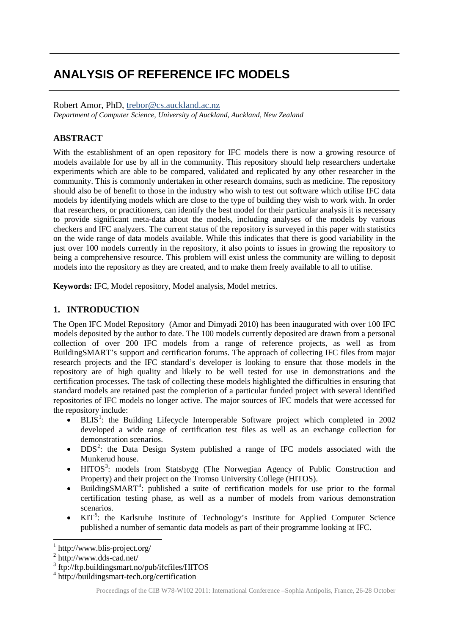# **ANALYSIS OF REFERENCE IFC MODELS**

#### Robert Amor, PhD, [trebor@cs.auckland.ac.nz](mailto:trebor@cs.auckland.ac.nz)

*Department of Computer Science, University of Auckland, Auckland, New Zealand*

## **ABSTRACT**

With the establishment of an open repository for IFC models there is now a growing resource of models available for use by all in the community. This repository should help researchers undertake experiments which are able to be compared, validated and replicated by any other researcher in the community. This is commonly undertaken in other research domains, such as medicine. The repository should also be of benefit to those in the industry who wish to test out software which utilise IFC data models by identifying models which are close to the type of building they wish to work with. In order that researchers, or practitioners, can identify the best model for their particular analysis it is necessary to provide significant meta-data about the models, including analyses of the models by various checkers and IFC analyzers. The current status of the repository is surveyed in this paper with statistics on the wide range of data models available. While this indicates that there is good variability in the just over 100 models currently in the repository, it also points to issues in growing the repository to being a comprehensive resource. This problem will exist unless the community are willing to deposit models into the repository as they are created, and to make them freely available to all to utilise.

**Keywords:** IFC, Model repository, Model analysis, Model metrics.

## **1. INTRODUCTION**

The Open IFC Model Repository (Amor and Dimyadi 2010) has been inaugurated with over 100 IFC models deposited by the author to date. The 100 models currently deposited are drawn from a personal collection of over 200 IFC models from a range of reference projects, as well as from BuildingSMART's support and certification forums. The approach of collecting IFC files from major research projects and the IFC standard's developer is looking to ensure that those models in the repository are of high quality and likely to be well tested for use in demonstrations and the certification processes. The task of collecting these models highlighted the difficulties in ensuring that standard models are retained past the completion of a particular funded project with several identified repositories of IFC models no longer active. The major sources of IFC models that were accessed for the repository include:

- $\bullet$  BLIS<sup>[1](#page-0-0)</sup>: the Building Lifecycle Interoperable Software project which completed in 2002 developed a wide range of certification test files as well as an exchange collection for demonstration scenarios.
- DDS<sup>[2](#page-0-1)</sup>: the Data Design System published a range of IFC models associated with the Munkerud house.
- HITOS<sup>[3](#page-0-2)</sup>: models from Statsbygg (The Norwegian Agency of Public Construction and Property) and their project on the Tromso University College (HITOS).
- BuildingSMART<sup>[4](#page-0-3)</sup>: published a suite of certification models for use prior to the formal certification testing phase, as well as a number of models from various demonstration scenarios.
- KIT<sup>[5](#page-0-0)</sup>: the Karlsruhe Institute of Technology's Institute for Applied Computer Science published a number of semantic data models as part of their programme looking at IFC.

<span id="page-0-0"></span> $1$  http://www.blis-project.org/

<span id="page-0-1"></span> $2 \text{ http://www.dds-cad.net/}$ 

<span id="page-0-2"></span><sup>3</sup> ftp://ftp.buildingsmart.no/pub/ifcfiles/HITOS

<span id="page-0-3"></span><sup>4</sup> http://buildingsmart-tech.org/certification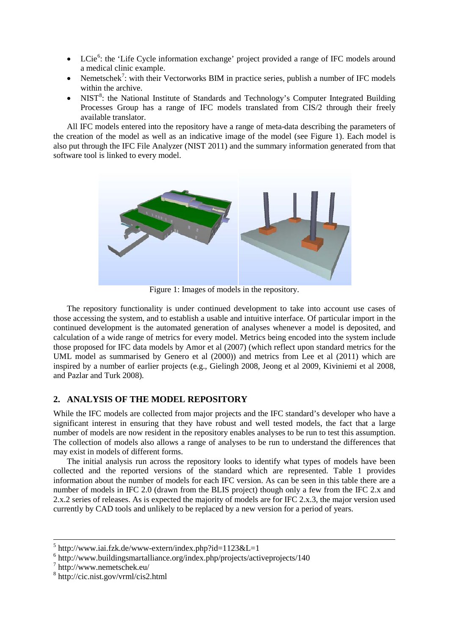- LCie<sup>[6](#page-1-0)</sup>: the 'Life Cycle information exchange' project provided a range of IFC models around a medical clinic example.
- Nemetschek<sup>[7](#page-1-1)</sup>: with their Vectorworks BIM in practice series, publish a number of IFC models within the archive.
- NIST<sup>[8](#page-1-2)</sup>: the National Institute of Standards and Technology's Computer Integrated Building Processes Group has a range of IFC models translated from CIS/2 through their freely available translator.

All IFC models entered into the repository have a range of meta-data describing the parameters of the creation of the model as well as an indicative image of the model (see Figure 1). Each model is also put through the IFC File Analyzer (NIST 2011) and the summary information generated from that software tool is linked to every model.



Figure 1: Images of models in the repository.

The repository functionality is under continued development to take into account use cases of those accessing the system, and to establish a usable and intuitive interface. Of particular import in the continued development is the automated generation of analyses whenever a model is deposited, and calculation of a wide range of metrics for every model. Metrics being encoded into the system include those proposed for IFC data models by Amor et al (2007) (which reflect upon standard metrics for the UML model as summarised by Genero et al (2000)) and metrics from Lee et al (2011) which are inspired by a number of earlier projects (e.g., Gielingh 2008, Jeong et al 2009, Kiviniemi et al 2008, and Pazlar and Turk 2008).

## **2. ANALYSIS OF THE MODEL REPOSITORY**

While the IFC models are collected from major projects and the IFC standard's developer who have a significant interest in ensuring that they have robust and well tested models, the fact that a large number of models are now resident in the repository enables analyses to be run to test this assumption. The collection of models also allows a range of analyses to be run to understand the differences that may exist in models of different forms.

The initial analysis run across the repository looks to identify what types of models have been collected and the reported versions of the standard which are represented. Table 1 provides information about the number of models for each IFC version. As can be seen in this table there are a number of models in IFC 2.0 (drawn from the BLIS project) though only a few from the IFC 2.x and 2.x.2 series of releases. As is expected the majority of models are for IFC 2.x.3, the major version used currently by CAD tools and unlikely to be replaced by a new version for a period of years.

 $5$  http://www.iai.fzk.de/www-extern/index.php?id=1123&L=1

<span id="page-1-0"></span> $6$  http://www.buildingsmartalliance.org/index.php/projects/activeprojects/140

<span id="page-1-1"></span><sup>7</sup> http://www.nemetschek.eu/

<span id="page-1-2"></span><sup>8</sup> http://cic.nist.gov/vrml/cis2.html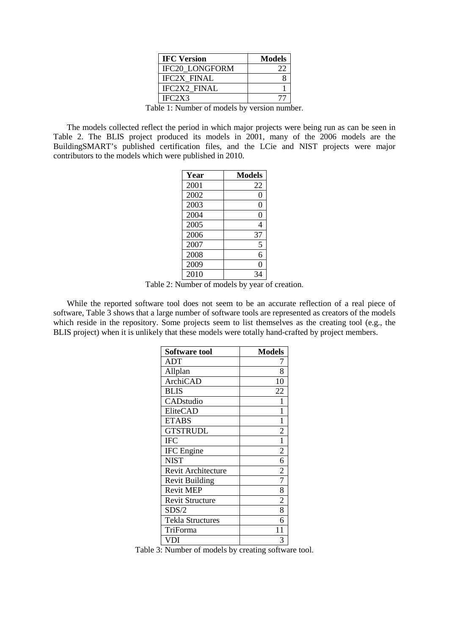| <b>IFC Version</b>    | <b>Models</b> |
|-----------------------|---------------|
| <b>IFC20 LONGFORM</b> | フフ            |
| <b>IFC2X FINAL</b>    |               |
| <b>IFC2X2 FINAL</b>   |               |
| IFC2X3                |               |

Table 1: Number of models by version number.

The models collected reflect the period in which major projects were being run as can be seen in Table 2. The BLIS project produced its models in 2001, many of the 2006 models are the BuildingSMART's published certification files, and the LCie and NIST projects were major contributors to the models which were published in 2010.

| Year | <b>Models</b> |
|------|---------------|
| 2001 | 22            |
| 2002 | 0             |
| 2003 | 0             |
| 2004 | 0             |
| 2005 | 4             |
| 2006 | 37            |
| 2007 | 5             |
| 2008 | 6             |
| 2009 | 0             |
| 2010 |               |

Table 2: Number of models by year of creation.

While the reported software tool does not seem to be an accurate reflection of a real piece of software, Table  $\hat{3}$  shows that a large number of software tools are represented as creators of the models which reside in the repository. Some projects seem to list themselves as the creating tool (e.g., the BLIS project) when it is unlikely that these models were totally hand-crafted by project members.

| <b>Software tool</b>    | <b>Models</b>  |  |  |
|-------------------------|----------------|--|--|
| ADT                     |                |  |  |
| Allplan                 | 8              |  |  |
| <b>ArchiCAD</b>         | 10             |  |  |
| <b>BLIS</b>             | 22             |  |  |
| CADstudio               |                |  |  |
| EliteCAD                |                |  |  |
| <b>ETABS</b>            | 1              |  |  |
| <b>GTSTRUDL</b>         | $\overline{c}$ |  |  |
| <b>IFC</b>              |                |  |  |
| <b>IFC</b> Engine       | 2              |  |  |
| <b>NIST</b>             | 6              |  |  |
| Revit Architecture      | 2              |  |  |
| <b>Revit Building</b>   | 7              |  |  |
| <b>Revit MEP</b>        | 8              |  |  |
| <b>Revit Structure</b>  | 2              |  |  |
| SDS/2                   | 8              |  |  |
| <b>Tekla Structures</b> | 6              |  |  |
| TriForma                | 11             |  |  |
| VDI                     | 3              |  |  |

Table 3: Number of models by creating software tool.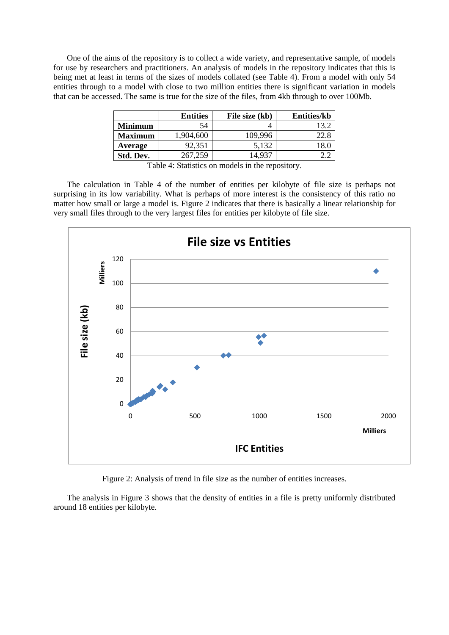One of the aims of the repository is to collect a wide variety, and representative sample, of models for use by researchers and practitioners. An analysis of models in the repository indicates that this is being met at least in terms of the sizes of models collated (see Table 4). From a model with only 54 entities through to a model with close to two million entities there is significant variation in models that can be accessed. The same is true for the size of the files, from 4kb through to over 100Mb.

|                | <b>Entities</b> | File size (kb) | <b>Entities/kb</b> |
|----------------|-----------------|----------------|--------------------|
| <b>Minimum</b> | 54              |                | $13^{\circ}$       |
| <b>Maximum</b> | 1,904,600       | 109,996        | 22.8               |
| Average        | 92,351          | 5.132          |                    |
| Std. Dev.      | 267,259         | 4 937          |                    |

Table 4: Statistics on models in the repository.

The calculation in Table 4 of the number of entities per kilobyte of file size is perhaps not surprising in its low variability. What is perhaps of more interest is the consistency of this ratio no matter how small or large a model is. Figure 2 indicates that there is basically a linear relationship for very small files through to the very largest files for entities per kilobyte of file size.



Figure 2: Analysis of trend in file size as the number of entities increases.

The analysis in Figure 3 shows that the density of entities in a file is pretty uniformly distributed around 18 entities per kilobyte.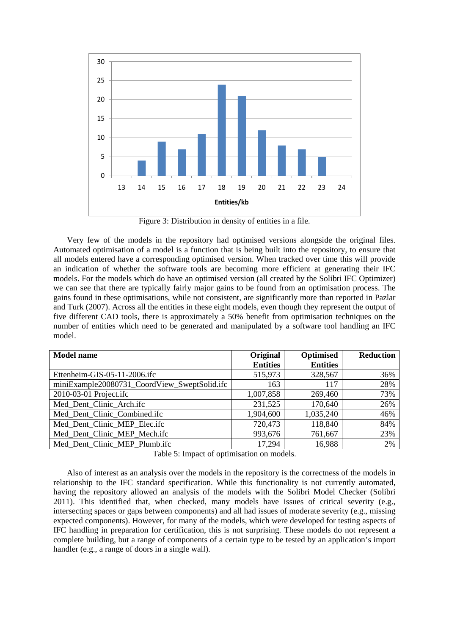

Figure 3: Distribution in density of entities in a file.

Very few of the models in the repository had optimised versions alongside the original files. Automated optimisation of a model is a function that is being built into the repository, to ensure that all models entered have a corresponding optimised version. When tracked over time this will provide an indication of whether the software tools are becoming more efficient at generating their IFC models. For the models which do have an optimised version (all created by the Solibri IFC Optimizer) we can see that there are typically fairly major gains to be found from an optimisation process. The gains found in these optimisations, while not consistent, are significantly more than reported in Pazlar and Turk (2007). Across all the entities in these eight models, even though they represent the output of five different CAD tools, there is approximately a 50% benefit from optimisation techniques on the number of entities which need to be generated and manipulated by a software tool handling an IFC model.

| <b>Model name</b>                            | Original        | Optimised       | <b>Reduction</b> |
|----------------------------------------------|-----------------|-----------------|------------------|
|                                              | <b>Entities</b> | <b>Entities</b> |                  |
| Ettenheim-GIS-05-11-2006.ifc                 | 515,973         | 328,567         | 36%              |
| miniExample20080731 CoordView SweptSolid.ifc | 163             | 117             | 28%              |
| 2010-03-01 Project.ifc                       | 1,007,858       | 269,460         | 73%              |
| Med Dent Clinic Arch.ifc                     | 231,525         | 170,640         | 26%              |
| Med_Dent_Clinic_Combined.ifc                 | 1,904,600       | 1,035,240       | 46%              |
| Med_Dent_Clinic_MEP_Elec.ifc                 | 720,473         | 118,840         | 84%              |
| Med Dent Clinic MEP Mech.ifc                 | 993,676         | 761,667         | 23%              |
| Med Dent Clinic MEP Plumb.ifc                | 17,294          | 16,988          | 2%               |

Table 5: Impact of optimisation on models.

Also of interest as an analysis over the models in the repository is the correctness of the models in relationship to the IFC standard specification. While this functionality is not currently automated, having the repository allowed an analysis of the models with the Solibri Model Checker (Solibri 2011). This identified that, when checked, many models have issues of critical severity (e.g., intersecting spaces or gaps between components) and all had issues of moderate severity (e.g., missing expected components). However, for many of the models, which were developed for testing aspects of IFC handling in preparation for certification, this is not surprising. These models do not represent a complete building, but a range of components of a certain type to be tested by an application's import handler (e.g., a range of doors in a single wall).